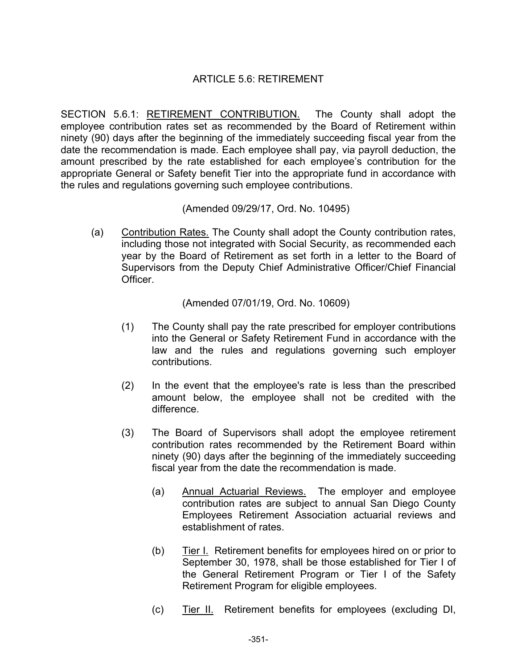## ARTICLE 5.6: RETIREMENT

SECTION 5.6.1: RETIREMENT CONTRIBUTION. The County shall adopt the employee contribution rates set as recommended by the Board of Retirement within ninety (90) days after the beginning of the immediately succeeding fiscal year from the date the recommendation is made. Each employee shall pay, via payroll deduction, the amount prescribed by the rate established for each employee's contribution for the appropriate General or Safety benefit Tier into the appropriate fund in accordance with the rules and regulations governing such employee contributions.

(Amended 09/29/17, Ord. No. 10495)

(a) Contribution Rates. The County shall adopt the County contribution rates, including those not integrated with Social Security, as recommended each year by the Board of Retirement as set forth in a letter to the Board of Supervisors from the Deputy Chief Administrative Officer/Chief Financial **Officer** 

(Amended 07/01/19, Ord. No. 10609)

- (1) The County shall pay the rate prescribed for employer contributions into the General or Safety Retirement Fund in accordance with the law and the rules and regulations governing such employer contributions.
- (2) In the event that the employee's rate is less than the prescribed amount below, the employee shall not be credited with the difference.
- (3) The Board of Supervisors shall adopt the employee retirement contribution rates recommended by the Retirement Board within ninety (90) days after the beginning of the immediately succeeding fiscal year from the date the recommendation is made.
	- (a) Annual Actuarial Reviews. The employer and employee contribution rates are subject to annual San Diego County Employees Retirement Association actuarial reviews and establishment of rates.
	- (b) Tier I. Retirement benefits for employees hired on or prior to September 30, 1978, shall be those established for Tier I of the General Retirement Program or Tier I of the Safety Retirement Program for eligible employees.
	- (c) Tier II. Retirement benefits for employees (excluding DI,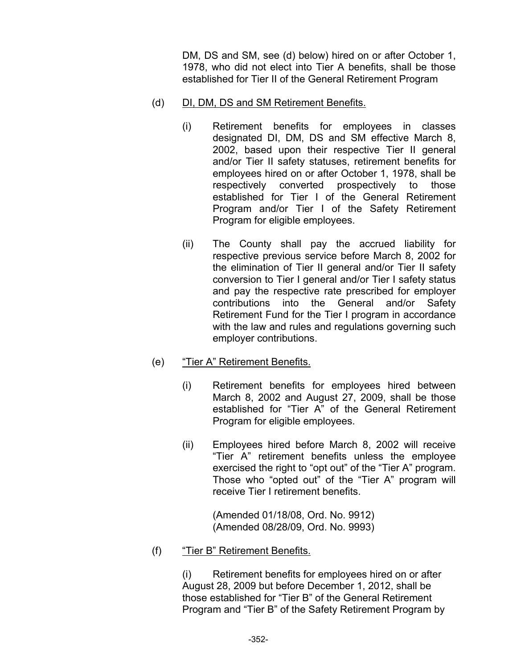DM, DS and SM, see (d) below) hired on or after October 1, 1978, who did not elect into Tier A benefits, shall be those established for Tier II of the General Retirement Program

- (d) DI, DM, DS and SM Retirement Benefits.
	- (i) Retirement benefits for employees in classes designated DI, DM, DS and SM effective March 8, 2002, based upon their respective Tier II general and/or Tier II safety statuses, retirement benefits for employees hired on or after October 1, 1978, shall be respectively converted prospectively to those established for Tier I of the General Retirement Program and/or Tier I of the Safety Retirement Program for eligible employees.
	- (ii) The County shall pay the accrued liability for respective previous service before March 8, 2002 for the elimination of Tier II general and/or Tier II safety conversion to Tier I general and/or Tier I safety status and pay the respective rate prescribed for employer contributions into the General and/or Safety Retirement Fund for the Tier I program in accordance with the law and rules and regulations governing such employer contributions.
- (e) "Tier A" Retirement Benefits.
	- (i) Retirement benefits for employees hired between March 8, 2002 and August 27, 2009, shall be those established for "Tier A" of the General Retirement Program for eligible employees.
	- (ii) Employees hired before March 8, 2002 will receive "Tier A" retirement benefits unless the employee exercised the right to "opt out" of the "Tier A" program. Those who "opted out" of the "Tier A" program will receive Tier I retirement benefits.

(Amended 01/18/08, Ord. No. 9912) (Amended 08/28/09, Ord. No. 9993)

(f) "Tier B" Retirement Benefits.

 (i) Retirement benefits for employees hired on or after August 28, 2009 but before December 1, 2012, shall be those established for "Tier B" of the General Retirement Program and "Tier B" of the Safety Retirement Program by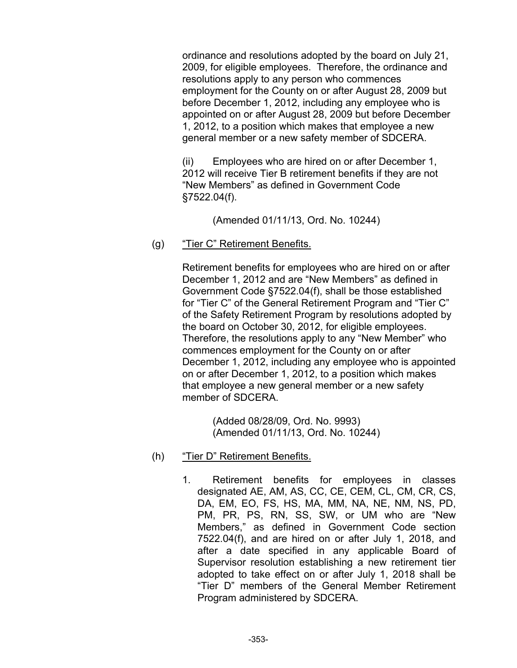ordinance and resolutions adopted by the board on July 21, 2009, for eligible employees. Therefore, the ordinance and resolutions apply to any person who commences employment for the County on or after August 28, 2009 but before December 1, 2012, including any employee who is appointed on or after August 28, 2009 but before December 1, 2012, to a position which makes that employee a new general member or a new safety member of SDCERA.

 (ii) Employees who are hired on or after December 1, 2012 will receive Tier B retirement benefits if they are not "New Members" as defined in Government Code §7522.04(f).

(Amended 01/11/13, Ord. No. 10244)

(g) "Tier C" Retirement Benefits.

 Retirement benefits for employees who are hired on or after December 1, 2012 and are "New Members" as defined in Government Code §7522.04(f), shall be those established for "Tier C" of the General Retirement Program and "Tier C" of the Safety Retirement Program by resolutions adopted by the board on October 30, 2012, for eligible employees. Therefore, the resolutions apply to any "New Member" who commences employment for the County on or after December 1, 2012, including any employee who is appointed on or after December 1, 2012, to a position which makes that employee a new general member or a new safety member of SDCERA.

> (Added 08/28/09, Ord. No. 9993) (Amended 01/11/13, Ord. No. 10244)

- (h) "Tier D" Retirement Benefits.
	- 1. Retirement benefits for employees in classes designated AE, AM, AS, CC, CE, CEM, CL, CM, CR, CS, DA, EM, EO, FS, HS, MA, MM, NA, NE, NM, NS, PD, PM, PR, PS, RN, SS, SW, or UM who are "New Members," as defined in Government Code section 7522.04(f), and are hired on or after July 1, 2018, and after a date specified in any applicable Board of Supervisor resolution establishing a new retirement tier adopted to take effect on or after July 1, 2018 shall be "Tier D" members of the General Member Retirement Program administered by SDCERA.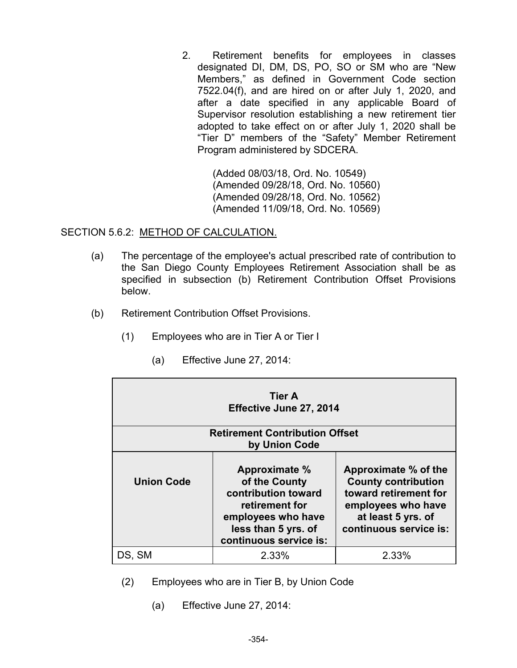2. Retirement benefits for employees in classes designated DI, DM, DS, PO, SO or SM who are "New Members," as defined in Government Code section 7522.04(f), and are hired on or after July 1, 2020, and after a date specified in any applicable Board of Supervisor resolution establishing a new retirement tier adopted to take effect on or after July 1, 2020 shall be "Tier D" members of the "Safety" Member Retirement Program administered by SDCERA.

> (Added 08/03/18, Ord. No. 10549) (Amended 09/28/18, Ord. No. 10560) (Amended 09/28/18, Ord. No. 10562) (Amended 11/09/18, Ord. No. 10569)

SECTION 5.6.2: METHOD OF CALCULATION.

- (a) The percentage of the employee's actual prescribed rate of contribution to the San Diego County Employees Retirement Association shall be as specified in subsection (b) Retirement Contribution Offset Provisions below.
- (b) Retirement Contribution Offset Provisions.
	- **Tier A Effective June 27, 2014 Retirement Contribution Offset by Union Code Union Code Approximate % of the County contribution toward retirement for employees who have less than 5 yrs. of continuous service is: Approximate % of the County contribution toward retirement for employees who have at least 5 yrs. of continuous service is:**  DS, SM 2.33% 2.33%
- (1) Employees who are in Tier A or Tier I
	- (a) Effective June 27, 2014:

- (2) Employees who are in Tier B, by Union Code
	- (a) Effective June 27, 2014: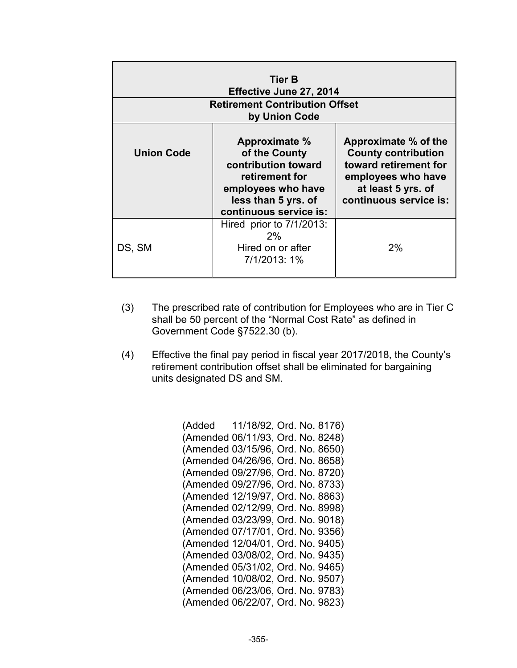| Tier B<br>Effective June 27, 2014<br><b>Retirement Contribution Offset</b> |                                                                                                                                                |                                                                                                                                                   |
|----------------------------------------------------------------------------|------------------------------------------------------------------------------------------------------------------------------------------------|---------------------------------------------------------------------------------------------------------------------------------------------------|
| by Union Code                                                              |                                                                                                                                                |                                                                                                                                                   |
| <b>Union Code</b>                                                          | Approximate %<br>of the County<br>contribution toward<br>retirement for<br>employees who have<br>less than 5 yrs. of<br>continuous service is: | Approximate % of the<br><b>County contribution</b><br>toward retirement for<br>employees who have<br>at least 5 yrs. of<br>continuous service is: |
| DS, SM                                                                     | Hired prior to 7/1/2013:<br>2%<br>Hired on or after<br>7/1/2013: 1%                                                                            | 2%                                                                                                                                                |

- (3) The prescribed rate of contribution for Employees who are in Tier C shall be 50 percent of the "Normal Cost Rate" as defined in Government Code §7522.30 (b).
- (4) Effective the final pay period in fiscal year 2017/2018, the County's retirement contribution offset shall be eliminated for bargaining units designated DS and SM.

(Added 11/18/92, Ord. No. 8176) (Amended 06/11/93, Ord. No. 8248) (Amended 03/15/96, Ord. No. 8650) (Amended 04/26/96, Ord. No. 8658) (Amended 09/27/96, Ord. No. 8720) (Amended 09/27/96, Ord. No. 8733) (Amended 12/19/97, Ord. No. 8863) (Amended 02/12/99, Ord. No. 8998) (Amended 03/23/99, Ord. No. 9018) (Amended 07/17/01, Ord. No. 9356) (Amended 12/04/01, Ord. No. 9405) (Amended 03/08/02, Ord. No. 9435) (Amended 05/31/02, Ord. No. 9465) (Amended 10/08/02, Ord. No. 9507) (Amended 06/23/06, Ord. No. 9783) (Amended 06/22/07, Ord. No. 9823)